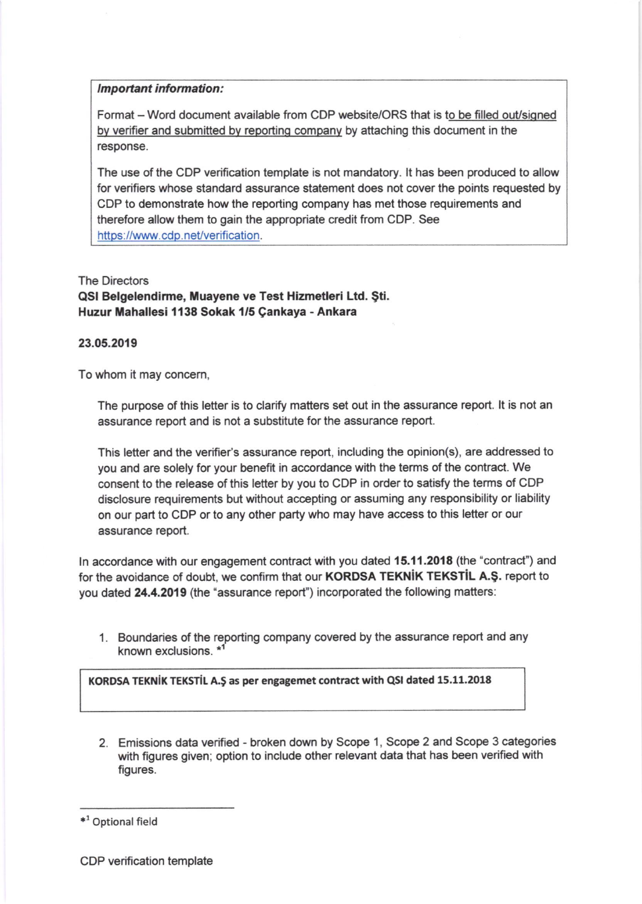## Important information:

Format - Word document available from CDP website/ORS that is to be filled out/signed by verifier and submitted by reporting company by attaching this document in the response.

The use of the CDP verification template is not mandatory. lt has been produced to allow for verifiers whose standard assurance statement does not cover the points requested by CDP to demonstrate how the reporting company has met those requirements and therefore allow them to gain the appropriate credit from CDP. See https://www.cdp.net/verification.

The Directors QSI Belgelendirme, Muayene ve Test Hizmetleri Ltd. Şti. Huzur Mahallesi 1138 Sokak 1/5 Çankaya - Ankara

## 23.05.2019

To whom it may concem,

The purpose of this letter is to clarify matters set out in the assurance report. lt is not an assurance report and is not a substitute for the assurance report.

This letter and the verifier's assurance report, including the opinion(s), are addressed to you and are solely for your benefit in accordance with the terms of the contract. We consent to the release of this letter by you to CDP in order to satisfy the terms of CDP disclosure requirements but without accepting or assuming any responsibility or liability on our part to CDP or to any other party who may have access to this letter or our assurance report.

In accordance with our engagement contract with you dated 15.11.2018 (the "contract") and for the avoidance of doubt, we confirm that our KORDSA TEKNIK TEKSTIL A.Ş. report to you dated 24.4.2019 (the "assurance report") incorporated the following matters:

1. Boundaries of the reporting company covered by the assurance report and any known exclusions. \*1

KORDSA TEKNIK TEKSTIL A.Ş as per engagemet contract with QSI dated 15.11.2018

2. Emissions data verified - broken down by Scope 1, Scope 2 and Scope 3 categories with figures given; option to include other relevant data that has been verified with figures.

<sup>\*&</sup>lt;sup>1</sup> Optional field